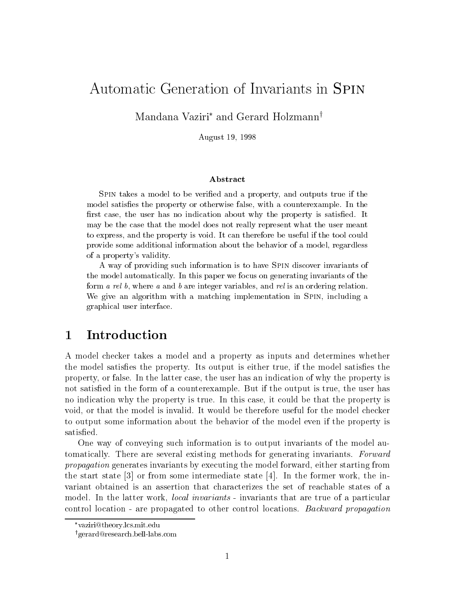# Automatic Generation of Invariants in Spin

Mandana Vaziri<sup>\*</sup> and Gerard Holzmann<sup>†</sup>

August 19, 1998

#### Abstract

SPIN takes a model to be verified and a property, and outputs true if the model satisfies the property or otherwise false, with a counterexample. In the first case, the user has no indication about why the property is satisfied. It may be the case that the model does not really represent what the user meant to express, and the property is void. It can therefore be useful if the tool could provide some additional information about the behavior of a model, regardless of a property's validity.

A way of providing such information is to have Spin discover invariants of the model automatically. In this paper we focus on generating invariants of the form a rel b, where a and b are integer variables, and rel is an ordering relation. We give an algorithm with a matching implementation in SPIN, including a graphical user interface.

## 1 Introduction

A model checker takes a model and a property as inputs and determines whether the model satisfies the property. Its output is either true, if the model satisfies the property, or false. In the latter case, the user has an indication of why the property is not satisfied in the form of a counterexample. But if the output is true, the user has no indication why the property is true. In this case, it could be that the property is void, or that the model is invalid. It would be therefore useful for the model checker to output some information about the behavior of the model even if the property is satisfied.

One way of conveying such information is to output invariants of the model automatically. There are several existing methods for generating invariants. Forward propagation generates invariants by executing the model forward, either starting from the start state  $\lceil 3 \rceil$  or from some intermediate state  $\lceil 4 \rceil$ . In the former work, the invariant obtained is an assertion that characterizes the set of reachable states of a model. In the latter work, *local invariants* - invariants that are true of a particular control location - are propagated to other control locations. Backward propagation

vaziri@theory.lcs.mit.edu

ygerard@research.bell-labs.com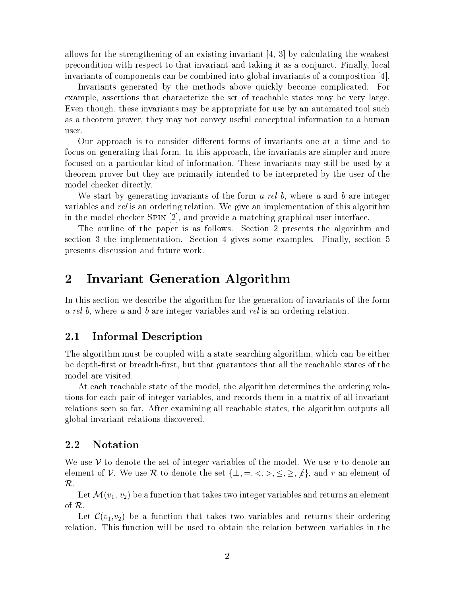allows for the strengthening of an existing invariant  $[4, 3]$  by calculating the weakest precondition with respect to that invariant and taking it as a conjunct. Finally, local invariants of components can be combined into global invariants of a composition [4].

Invariants generated by the methods above quickly become complicated. For example, assertions that characterize the set of reachable states may be very large. Even though, these invariants may be appropriate for use by an automated tool such as a theorem prover, they may not convey useful conceptual information to a human user.

Our approach is to consider different forms of invariants one at a time and to focus on generating that form. In this approach, the invariants are simpler and more focused on a particular kind of information. These invariants may still be used by a theorem prover but they are primarily intended to be interpreted by the user of the model checker directly.

We start by generating invariants of the form  $a$  rel  $b$ , where  $a$  and  $b$  are integer variables and rel is an ordering relation. We give an implementation of this algorithm in the model checker Spin [2], and provide a matching graphical user interface.

The outline of the paper is as follows. Section 2 presents the algorithm and section 3 the implementation. Section 4 gives some examples. Finally, section 5 presents discussion and future work.

#### $\overline{2}$ Invariant Generation Algorithm

In this section we describe the algorithm for the generation of invariants of the form a rel b, where a and b are integer variables and rel is an ordering relation.

## 2.1 Informal Description

The algorithm must be coupled with a state searching algorithm, which can be either be depth-first or breadth-first, but that guarantees that all the reachable states of the model are visited.

At each reachable state of the model, the algorithm determines the ordering relations for each pair of integer variables, and records them in a matrix of all invariant relations seen so far. After examining all reachable states, the algorithm outputs all global invariant relations discovered.

#### 2.2 Notation

We use  $\mathcal V$  to denote the set of integer variables of the model. We use v to denote an element of V. We use R to denote the set  $\{\perp, =, <, >, \leq, \geq, f\}$ , and r an element of  $\mathcal R$  .

Let  $\mathcal{M}(v_1, v_2)$  be a function that takes two integer variables and returns an element of R.

Let  $\mathcal{C}(v_1,v_2)$  be a function that takes two variables and returns their ordering relation. This function will be used to obtain the relation between variables in the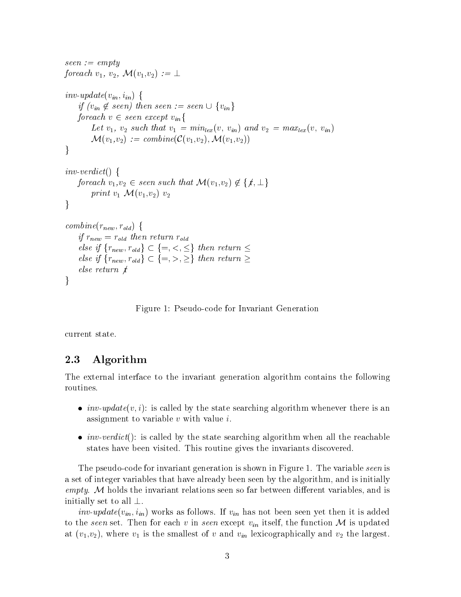```
seen := emptyforeach v_1, v_2, \mathcal{M}(v_1,v_2) := \perpinv-update(v_{in}, i_{in}) {
    if (v_{in} \notin seen) then seen := seen \cup \{v_{in}\}\foreach v \in seen \ except \ v_{in}Let v_1, v_2 such that v_1 = min_{lex}(v, v_{in}) and v_2 = max_{lex}(v, v_{in})\mathcal{M}(v_1,v_2) := \text{combine}(\mathcal{C}(v_1,v_2), \mathcal{M}(v_1,v_2))\}inv-verdict() {
    foreach v_1, v_2 \in seen such that \mathcal{M}(v_1, v_2) \notin \{f, \perp\}print v_1 \mathcal{M}(v_1,v_2) v_2\}combine(r_{new}, r_{old}) {
    if r_{new} = r_{old} then return r_{old}else if \{r_{new}, r_{old}\} \subset \{=, <, \leq\} then return \leqelse if \{r_{new}, r_{old}\} \subset \{=, >, \geq \} then return \geqelse return f\}
```
Figure 1: Pseudo-code for Invariant Generation

current state.

### 2.3 Algorithm

The external interface to the invariant generation algorithm contains the following routines.

- $\bullet$   $\it inv\text{-}update}(v, i)$ : is called by the state searching algorithm whenever there is an assignment to variable <sup>v</sup> with value i.
- $\bullet$   $\it inv\text{-}veract$ (): is called by the state searching algorithm when all the reachable states have been visited. This routine gives the invariants discovered.

The pseudo-code for invariant generation is shown in Figure 1. The variable seen is a set of integer variables that have already been seen by the algorithm, and is initially empty. M holds the invariant relations seen so far between different variables, and is initially set to all  $\perp$ .

*inv-update*( $v_{in}$ ,  $i_{in}$ ) works as follows. If  $v_{in}$  has not been seen yet then it is added to the seen set. Then for each v in seen except  $v_{in}$  itself, the function M is updated at  $(v_1,v_2)$ , where  $v_1$  is the smallest of v and  $v_{in}$  lexicographically and  $v_2$  the largest.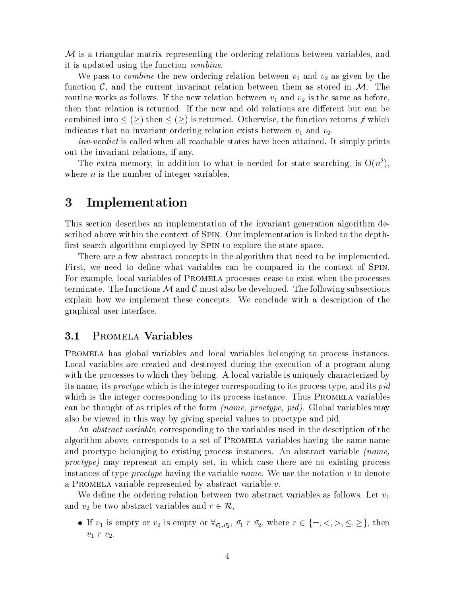$M$  is a triangular matrix representing the ordering relations between variables, and it is updated using the function combine.

We pass to *combine* the new ordering relation between  $v_1$  and  $v_2$  as given by the function  $\mathcal{C}$ , and the current invariant relation between them as stored in  $\mathcal{M}$ . The routine works as follows. If the new relation between  $v_1$  and  $v_2$  is the same as before, then that relation is returned. If the new and old relations are different but can be combined into  $\leq$  ( $\geq$ ) then  $\leq$  ( $\geq$ ) is returned. Otherwise, the function returns  $f$  which indicates that no invariant ordering relation exists between  $v_1$  and  $v_2$ .

inv-verdict is called when all reachable states have been attained. It simply prints out the invariant relations, if any.

The extra memory, in addition to what is needed for state searching, is  $O(n^2)$ , where  $n$  is the number of integer variables.

## 3 Implementation

This section describes an implementation of the invariant generation algorithm described above within the context of Spin. Our implementation is linked to the depth first search algorithm employed by SPIN to explore the state space.

There are a few abstract concepts in the algorithm that need to be implemented. First, we need to define what variables can be compared in the context of SPIN. For example, local variables of Promela processes cease to exist when the processes terminate. The functions  $\mathcal M$  and  $\mathcal C$  must also be developed. The following subsections explain how we implement these concepts. We conclude with a description of the graphical user interface.

#### 3.1 Promela Variables

Promela has global variables and local variables belonging to process instances. Local variables are created and destroyed during the execution of a program along with the processes to which they belong. A local variable is uniquely characterized by its name, its proctype which is the integer corresponding to its process type, and its pid which is the integer corresponding to its process instance. Thus PROMELA variables can be thought of as triples of the form (name, proctype, pid). Global variables may also be viewed in this way by giving special values to proctype and pid.

An abstract variable, corresponding to the variables used in the description of the algorithm above, corresponds to a set of Promela variables having the same name and proctype belonging to existing process instances. An abstract variable (name, proctype) may represent an empty set, in which case there are no existing process instances of type *proctype* having the variable *name*. We use the notation  $\bar{v}$  to denote a PROMELA variable represented by abstract variable  $v$ .

We define the ordering relation between two abstract variables as follows. Let  $v_1$ and  $v_2$  be two abstract variables and  $r \in \mathcal{R}$ ,

If  $v_1$  is empty or  $v_2$  is empty or  $\forall v_1, v_2, v_1 \in \{v_2, v_2 \in \{v_1, v_2, v_1 + v_2\}$ , then  $v_1$  r  $v_2$ .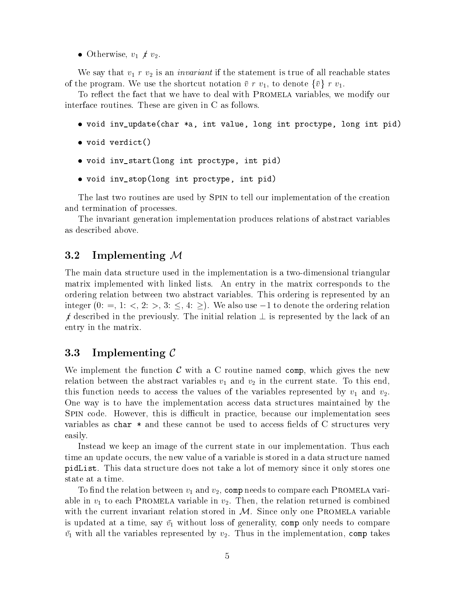• Otherwise,  $v_1 \not\perp v_2$ .

We say that  $v_1$  r  $v_2$  is an *invariant* if the statement is true of all reachable states of the program. We use the shortcut notation  $\bar{v} r v_1$ , to denote  $\{\bar{v}\}\ r v_1$ .

To reflect the fact that we have to deal with PROMELA variables, we modify our interface routines. These are given in C as follows.

- $\bullet$  void inv update(char \*a, int value, long int proctype, long int pid)
- $\bullet$  void verdict() void verdict()
- $\bullet$  void inv start(long int proctype, int pid)
- void inv\_stop(long int proctype, int pid)

The last two routines are used by Spin to tell our implementation of the creation and termination of processes.

The invariant generation implementation produces relations of abstract variables as described above.

#### 3.2 Implementing <sup>M</sup>

The main data structure used in the implementation is a two-dimensional triangular matrix implemented with linked lists. An entry in the matrix corresponds to the ordering relation between two abstract variables. This ordering is represented by an integer  $(0: =, 1: <, 2: >, 3: \leq, 4: \geq)$ . We also use  $-1$  to denote the ordering relation f described in the previously. The initial relation  $\perp$  is represented by the lack of an entry in the matrix.

#### $3.3$ Implementing  $\mathcal C$

We implement the function  $\mathcal C$  with a C routine named comp, which gives the new relation between the abstract variables  $v_1$  and  $v_2$  in the current state. To this end, this function needs to access the values of the variables represented by  $v_1$  and  $v_2$ . One way is to have the implementation access data structures maintained by the SPIN code. However, this is difficult in practice, because our implementation sees variables as char  $*$  and these cannot be used to access fields of C structures very easily.

Instead we keep an image of the current state in our implementation. Thus each time an update occurs, the new value of a variable is stored in a data structure named pidList. This data structure does not take a lot of memory since it only stores one state at a time.

To find the relation between  $v_1$  and  $v_2$ , comp needs to compare each PROMELA variable in  $v_1$  to each PROMELA variable in  $v_2$ . Then, the relation returned is combined with the current invariant relation stored in  $M$ . Since only one PROMELA variable is updated at a time, say  $\bar{v}_1$  without loss of generality, comp only needs to compare  $\bar{v}_1$  with all the variables represented by  $v_2$ . Thus in the implementation, comp takes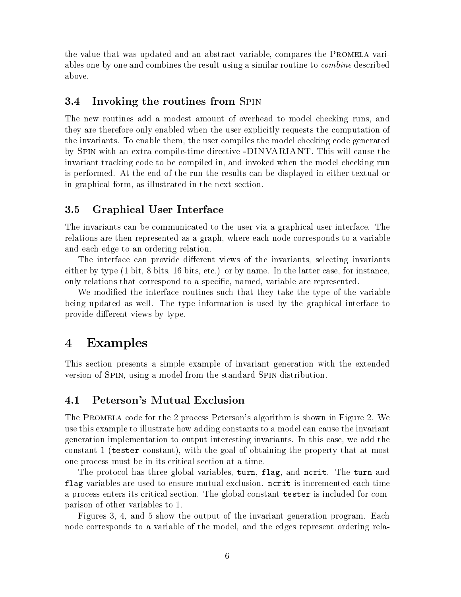the value that was updated and an abstract variable, compares the Promela variables one by one and combines the result using a similar routine to *combine* described above.

### 3.4 Invoking the routines from Spin

The new routines add a modest amount of overhead to model checking runs, and they are therefore only enabled when the user explicitly requests the computation of the invariants. To enable them, the user compiles the model checking code generated by Spin with an extra compile-time directive -DINVARIANT. This will cause the invariant tracking code to be compiled in, and invoked when the model checking run is performed. At the end of the run the results can be displayed in either textual or in graphical form, as illustrated in the next section.

### 3.5 Graphical User Interface

The invariants can be communicated to the user via a graphical user interface. The relations are then represented as a graph, where each node corresponds to a variable and each edge to an ordering relation.

The interface can provide different views of the invariants, selecting invariants either by type (1 bit, 8 bits, 16 bits, etc.) or by name. In the latter case, for instance only relations that correspond to a specic, named, variable are represented.

We modified the interface routines such that they take the type of the variable being updated as well. The type information is used by the graphical interface to provide different views by type.

## 4 Examples

This section presents a simple example of invariant generation with the extended version of Spin, using a model from the standard Spin distribution.

#### 4.1 Peterson's Mutual Exclusion

The Promela code for the 2 process Peterson's algorithm is shown in Figure 2. We use this example to illustrate how adding constants to a model can cause the invariant generation implementation to output interesting invariants. In this case, we add the constant 1 (tester constant), with the goal of obtaining the property that at most one process must be in its critical section at a time.

The protocol has three global variables, turn, flag, and ncrit. The turn and flag variables are used to ensure mutual exclusion. ncrit isincremented each time a process enters its critical section. The global constant tester isincluded for comparison of other variables to 1.

Figures 3, 4, and 5 show the output of the invariant generation program. Each node corresponds to a variable of the model, and the edges represent ordering rela-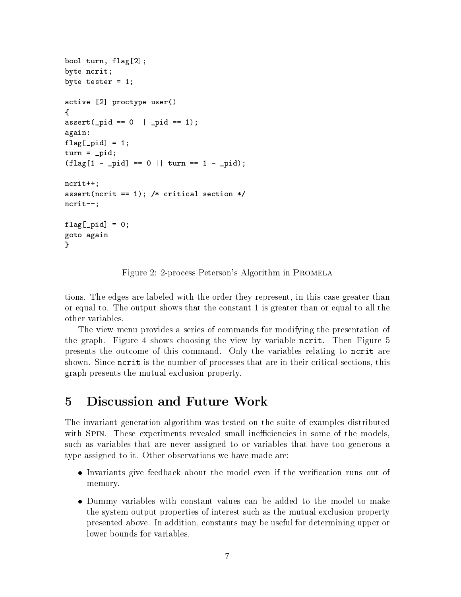```
bool turn, flag[2];
byte ncrit;
byte tester = 1;
active contractive users and \alpha{assert as a pid p = m , p = m , p = m , p = 1 , p = 1 , p = 1 , p = 1 , p = 1 , p = 1 , p = 1 , p = 1 , p = 1 , p = 1 , p = 1 , p = 1 , p = 1 , p = 1 , p = 1 , p = 1 , p = 1 , p = 1 , p = 1 , p = 1 , again:f = -1; f = -1; f = 1; f = 1; f = 1; f = 1; f = 1; f = 1; f = 1; f = 1; f = 1; f = 1; f = 1; f = 1; f = 1; f = 1; f = 1; f = 1; f = 1; f = 1; f = 1; f = 1; f = 1; f = 1; f = 1; f = 1; f = 1; f = 1turn \mathbf{r} = \mathbf{r} , where \mathbf{r} = \mathbf{r}(finally different particles); the original property \mathbf{r}_1 or \mathbf{r}_2 and \mathbf{r}_3 are \mathbf{r}_4 or \mathbf{r}_5 and \mathbf{r}_6 are \mathbf{r}_7 and \mathbf{r}_8 are \mathbf{r}_7 and \mathbf{r}_8 are \mathbf{r}_8 and \mathbf{r}_8 are \ncrit++;assert (noring the \mathcal{L} ) is a critical section for \mathcal{L}ncrit--;flag[_pid] = 0;
goto again
}
```
Figure 2: 2-process Peterson's Algorithm in Promela

tions. The edges are labeled with the order they represent, in this case greater than or equal to. The output shows that the constant 1 is greater than or equal to all the other variables.

The view menu provides a series of commands for modifying the presentation of the graph. Figure 4 shows choosing the view by variable ncrit. Then Figure 5 presents the outcome of this command. Only the variables relating to ncrit are shown. Since ncrit is the number of processes that are in their critical sections, this graph presents the mutual exclusion property.

#### **Discussion and Future Work**  $\overline{5}$

The invariant generation algorithm was tested on the suite of examples distributed with SPIN. These experiments revealed small inefficiencies in some of the models, such as variables that are never assigned to or variables that have too generous a type assigned to it. Other observations we have made are:

- $\bullet$  Invariants give feedback about the model even if the verification runs out of  $\hspace{0.1mm}$ memory.
- $\bullet$  Dummy variables with constant values can be added to the model to make the system output properties of interest such asthe mutual exclusion property presented above. In addition, constants may be useful for determining upper or lower bounds for variables.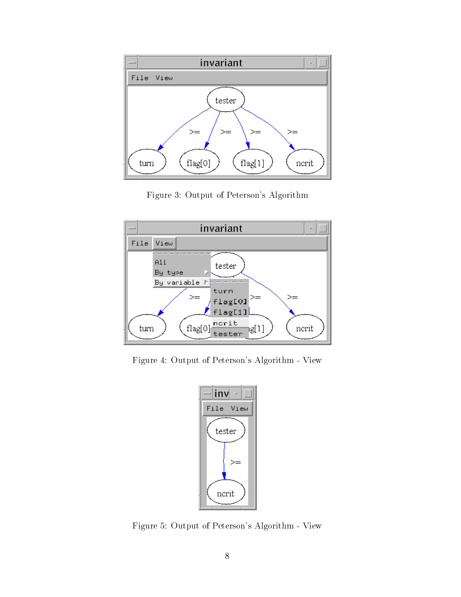

Figure 3: Output of Peterson's Algorithm



Figure 4: Output of Peterson's Algorithm - View



Figure 5: Output of Peterson's Algorithm - View